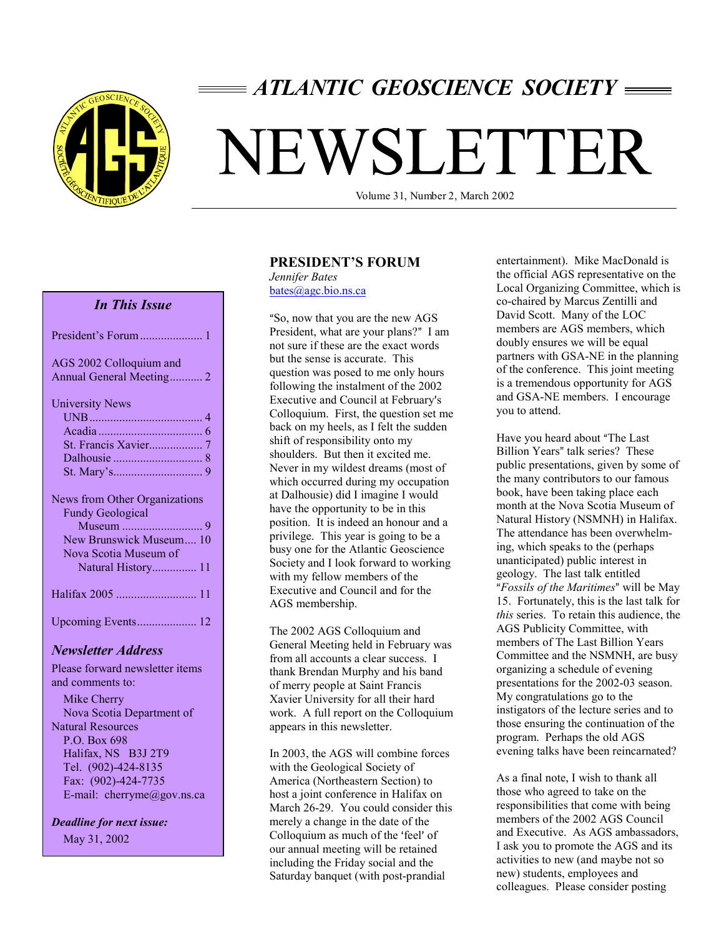

## *ATLANTIC GEOSCIENCE SOCIETY*

# NEWSLETTER

Volume 31, Number 2, March 2002

#### *In This Issue*

| AGS 2002 Colloquium and<br>Annual General Meeting 2                                                                                       |
|-------------------------------------------------------------------------------------------------------------------------------------------|
| <b>University News</b>                                                                                                                    |
|                                                                                                                                           |
|                                                                                                                                           |
|                                                                                                                                           |
|                                                                                                                                           |
|                                                                                                                                           |
|                                                                                                                                           |
| <b>News from Other Organizations</b><br><b>Fundy Geological</b><br>New Brunswick Museum 10<br>Nova Scotia Museum of<br>Natural History 11 |
|                                                                                                                                           |

#### *Newsletter Address*

Please forward newsletter items and comments to:

 Mike Cherry Nova Scotia Department of Natural Resources P.O. Box 698 Halifax, NS B3J 2T9 Tel. (902)-424-8135 Fax: (902)-424-7735 E-mail: cherryme@gov.ns.ca

*Deadline for next issue:* May 31, 2002

#### **PRESIDENT'S FORUM**

*Jennifer Bates*  bates@agc.bio.ns.ca

So, now that you are the new AGS President, what are your plans?" I am not sure if these are the exact words but the sense is accurate. This question was posed to me only hours following the instalment of the 2002 Executive and Council at February's Colloquium. First, the question set me back on my heels, as I felt the sudden shift of responsibility onto my shoulders. But then it excited me. Never in my wildest dreams (most of which occurred during my occupation at Dalhousie) did I imagine I would have the opportunity to be in this position. It is indeed an honour and a privilege. This year is going to be a busy one for the Atlantic Geoscience Society and I look forward to working with my fellow members of the Executive and Council and for the AGS membership.

The 2002 AGS Colloquium and General Meeting held in February was from all accounts a clear success. I thank Brendan Murphy and his band of merry people at Saint Francis Xavier University for all their hard work. A full report on the Colloquium appears in this newsletter.

In 2003, the AGS will combine forces with the Geological Society of America (Northeastern Section) to host a joint conference in Halifax on March 26-29. You could consider this merely a change in the date of the Colloquium as much of the 'feel' of our annual meeting will be retained including the Friday social and the Saturday banquet (with post-prandial

entertainment). Mike MacDonald is the official AGS representative on the Local Organizing Committee, which is co-chaired by Marcus Zentilli and David Scott. Many of the LOC members are AGS members, which doubly ensures we will be equal partners with GSA-NE in the planning of the conference. This joint meeting is a tremendous opportunity for AGS and GSA-NE members. I encourage you to attend.

Have you heard about "The Last Billion Years" talk series? These public presentations, given by some of the many contributors to our famous book, have been taking place each month at the Nova Scotia Museum of Natural History (NSMNH) in Halifax. The attendance has been overwhelming, which speaks to the (perhaps unanticipated) public interest in geology. The last talk entitled *Fossils of the Maritimes*- will be May 15. Fortunately, this is the last talk for *this* series. To retain this audience, the AGS Publicity Committee, with members of The Last Billion Years Committee and the NSMNH, are busy organizing a schedule of evening presentations for the 2002-03 season. My congratulations go to the instigators of the lecture series and to those ensuring the continuation of the program. Perhaps the old AGS evening talks have been reincarnated?

As a final note, I wish to thank all those who agreed to take on the responsibilities that come with being members of the 2002 AGS Council and Executive. As AGS ambassadors, I ask you to promote the AGS and its activities to new (and maybe not so new) students, employees and colleagues. Please consider posting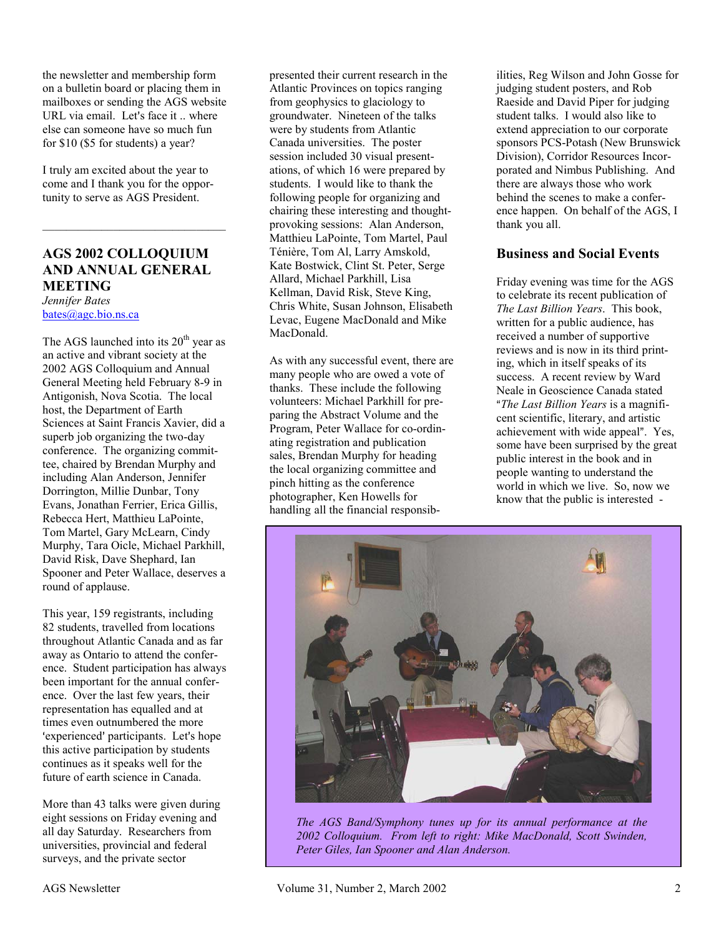the newsletter and membership form on a bulletin board or placing them in mailboxes or sending the AGS website URL via email. Let's face it .. where else can someone have so much fun for \$10 (\$5 for students) a year?

I truly am excited about the year to come and I thank you for the opportunity to serve as AGS President.

#### **AGS 2002 COLLOQUIUM AND ANNUAL GENERAL MEETING**

*Jennifer Bates*  bates@agc.bio.ns.ca

The AGS launched into its  $20<sup>th</sup>$  year as an active and vibrant society at the 2002 AGS Colloquium and Annual General Meeting held February 8-9 in Antigonish, Nova Scotia. The local host, the Department of Earth Sciences at Saint Francis Xavier, did a superb job organizing the two-day conference. The organizing committee, chaired by Brendan Murphy and including Alan Anderson, Jennifer Dorrington, Millie Dunbar, Tony Evans, Jonathan Ferrier, Erica Gillis, Rebecca Hert, Matthieu LaPointe, Tom Martel, Gary McLearn, Cindy Murphy, Tara Oicle, Michael Parkhill, David Risk, Dave Shephard, Ian Spooner and Peter Wallace, deserves a round of applause.

This year, 159 registrants, including 82 students, travelled from locations throughout Atlantic Canada and as far away as Ontario to attend the conference. Student participation has always been important for the annual conference. Over the last few years, their representation has equalled and at times even outnumbered the more 'experienced' participants. Let's hope this active participation by students continues as it speaks well for the future of earth science in Canada.

More than 43 talks were given during eight sessions on Friday evening and all day Saturday. Researchers from universities, provincial and federal surveys, and the private sector

presented their current research in the Atlantic Provinces on topics ranging from geophysics to glaciology to groundwater. Nineteen of the talks were by students from Atlantic Canada universities. The poster session included 30 visual presentations, of which 16 were prepared by students. I would like to thank the following people for organizing and chairing these interesting and thoughtprovoking sessions: Alan Anderson, Matthieu LaPointe, Tom Martel, Paul Ténière, Tom Al, Larry Amskold, Kate Bostwick, Clint St. Peter, Serge Allard, Michael Parkhill, Lisa Kellman, David Risk, Steve King, Chris White, Susan Johnson, Elisabeth Levac, Eugene MacDonald and Mike MacDonald.

As with any successful event, there are many people who are owed a vote of thanks. These include the following volunteers: Michael Parkhill for preparing the Abstract Volume and the Program, Peter Wallace for co-ordinating registration and publication sales, Brendan Murphy for heading the local organizing committee and pinch hitting as the conference photographer, Ken Howells for handling all the financial responsib-

ilities, Reg Wilson and John Gosse for judging student posters, and Rob Raeside and David Piper for judging student talks. I would also like to extend appreciation to our corporate sponsors PCS-Potash (New Brunswick Division), Corridor Resources Incorporated and Nimbus Publishing. And there are always those who work behind the scenes to make a conference happen. On behalf of the AGS, I thank you all.

#### **Business and Social Events**

Friday evening was time for the AGS to celebrate its recent publication of *The Last Billion Years*. This book, written for a public audience, has received a number of supportive reviews and is now in its third printing, which in itself speaks of its success. A recent review by Ward Neale in Geoscience Canada stated *The Last Billion Years* is a magnificent scientific, literary, and artistic achievement with wide appeal". Yes, some have been surprised by the great public interest in the book and in people wanting to understand the world in which we live. So, now we know that the public is interested -



*The AGS Band/Symphony tunes up for its annual performance at the 2002 Colloquium. From left to right: Mike MacDonald, Scott Swinden, Peter Giles, Ian Spooner and Alan Anderson.*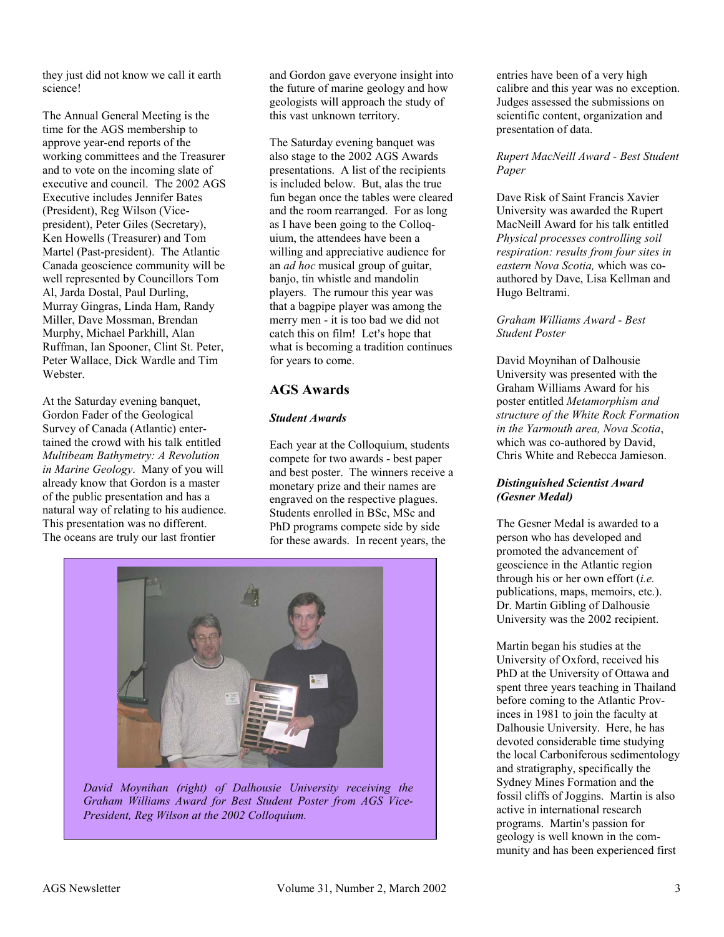they just did not know we call it earth science!

The Annual General Meeting is the time for the AGS membership to approve year-end reports of the working committees and the Treasurer and to vote on the incoming slate of executive and council. The 2002 AGS Executive includes Jennifer Bates (President), Reg Wilson (Vicepresident), Peter Giles (Secretary), Ken Howells (Treasurer) and Tom Martel (Past-president). The Atlantic Canada geoscience community will be well represented by Councillors Tom Al, Jarda Dostal, Paul Durling, Murray Gingras, Linda Ham, Randy Miller, Dave Mossman, Brendan Murphy, Michael Parkhill, Alan Ruffman, Ian Spooner, Clint St. Peter, Peter Wallace, Dick Wardle and Tim Webster.

At the Saturday evening banquet, Gordon Fader of the Geological Survey of Canada (Atlantic) entertained the crowd with his talk entitled *Multibeam Bathymetry: A Revolution in Marine Geology*. Many of you will already know that Gordon is a master of the public presentation and has a natural way of relating to his audience. This presentation was no different. The oceans are truly our last frontier

and Gordon gave everyone insight into the future of marine geology and how geologists will approach the study of this vast unknown territory.

The Saturday evening banquet was also stage to the 2002 AGS Awards presentations. A list of the recipients is included below. But, alas the true fun began once the tables were cleared and the room rearranged. For as long as I have been going to the Colloquium, the attendees have been a willing and appreciative audience for an *ad hoc* musical group of guitar, banjo, tin whistle and mandolin players. The rumour this year was that a bagpipe player was among the merry men - it is too bad we did not catch this on film! Let's hope that what is becoming a tradition continues for years to come.

#### **AGS Awards**

#### *Student Awards*

Each year at the Colloquium, students compete for two awards - best paper and best poster. The winners receive a monetary prize and their names are engraved on the respective plagues. Students enrolled in BSc, MSc and PhD programs compete side by side for these awards. In recent years, the



*David Moynihan (right) of Dalhousie University receiving the Graham Williams Award for Best Student Poster from AGS Vice-President, Reg Wilson at the 2002 Colloquium.* 

entries have been of a very high calibre and this year was no exception. Judges assessed the submissions on scientific content, organization and presentation of data.

#### *Rupert MacNeill Award - Best Student Paper*

Dave Risk of Saint Francis Xavier University was awarded the Rupert MacNeill Award for his talk entitled *Physical processes controlling soil respiration: results from four sites in eastern Nova Scotia,* which was coauthored by Dave, Lisa Kellman and Hugo Beltrami.

*Graham Williams Award - Best Student Poster* 

David Moynihan of Dalhousie University was presented with the Graham Williams Award for his poster entitled *Metamorphism and structure of the White Rock Formation in the Yarmouth area, Nova Scotia*, which was co-authored by David, Chris White and Rebecca Jamieson.

#### *Distinguished Scientist Award (Gesner Medal)*

The Gesner Medal is awarded to a person who has developed and promoted the advancement of geoscience in the Atlantic region through his or her own effort (*i.e.* publications, maps, memoirs, etc.). Dr. Martin Gibling of Dalhousie University was the 2002 recipient.

Martin began his studies at the University of Oxford, received his PhD at the University of Ottawa and spent three years teaching in Thailand before coming to the Atlantic Provinces in 1981 to join the faculty at Dalhousie University. Here, he has devoted considerable time studying the local Carboniferous sedimentology and stratigraphy, specifically the Sydney Mines Formation and the fossil cliffs of Joggins. Martin is also active in international research programs. Martin's passion for geology is well known in the community and has been experienced first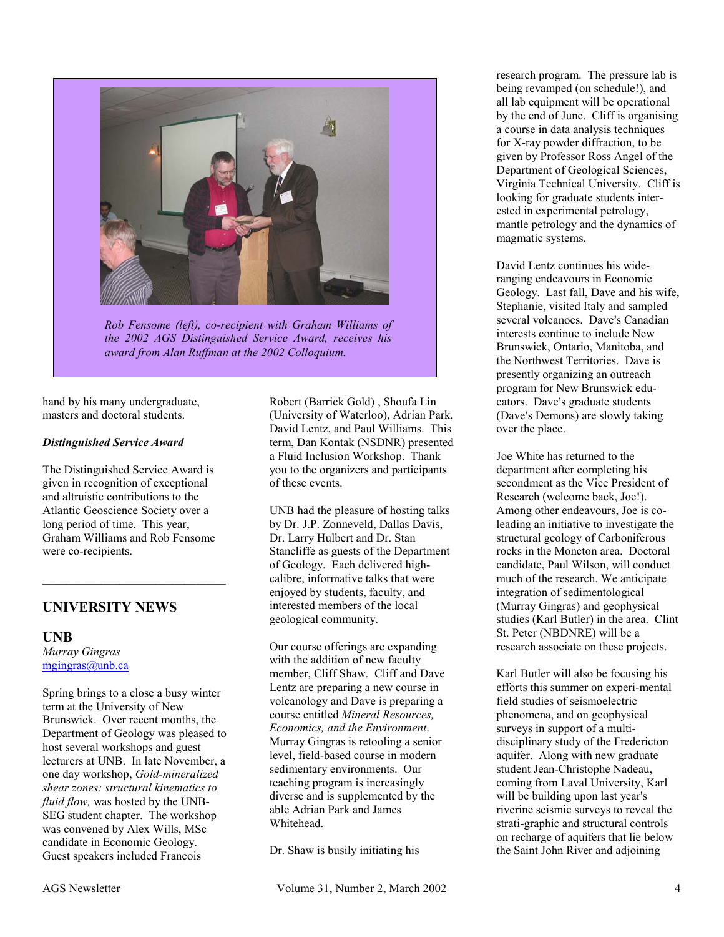

*Rob Fensome (left), co-recipient with Graham Williams of the 2002 AGS Distinguished Service Award, receives his award from Alan Ruffman at the 2002 Colloquium.* 

hand by his many undergraduate, masters and doctoral students.

#### *Distinguished Service Award*

The Distinguished Service Award is given in recognition of exceptional and altruistic contributions to the Atlantic Geoscience Society over a long period of time. This year, Graham Williams and Rob Fensome were co-recipients.

 $\mathcal{L}_\text{max}$ 

#### **UNIVERSITY NEWS**

#### **UNB**

*Murray Gingras*  mgingras@unb.ca

Spring brings to a close a busy winter term at the University of New Brunswick. Over recent months, the Department of Geology was pleased to host several workshops and guest lecturers at UNB. In late November, a one day workshop, *Gold-mineralized shear zones: structural kinematics to fluid flow,* was hosted by the UNB-SEG student chapter. The workshop was convened by Alex Wills, MSc candidate in Economic Geology. Guest speakers included Francois

Robert (Barrick Gold) , Shoufa Lin (University of Waterloo), Adrian Park, David Lentz, and Paul Williams. This term, Dan Kontak (NSDNR) presented a Fluid Inclusion Workshop. Thank you to the organizers and participants of these events.

UNB had the pleasure of hosting talks by Dr. J.P. Zonneveld, Dallas Davis, Dr. Larry Hulbert and Dr. Stan Stancliffe as guests of the Department of Geology. Each delivered highcalibre, informative talks that were enjoyed by students, faculty, and interested members of the local geological community.

Our course offerings are expanding with the addition of new faculty member, Cliff Shaw. Cliff and Dave Lentz are preparing a new course in volcanology and Dave is preparing a course entitled *Mineral Resources, Economics, and the Environment*. Murray Gingras is retooling a senior level, field-based course in modern sedimentary environments. Our teaching program is increasingly diverse and is supplemented by the able Adrian Park and James **Whitehead** 

Dr. Shaw is busily initiating his

research program. The pressure lab is being revamped (on schedule!), and all lab equipment will be operational by the end of June. Cliff is organising a course in data analysis techniques for X-ray powder diffraction, to be given by Professor Ross Angel of the Department of Geological Sciences, Virginia Technical University. Cliff is looking for graduate students interested in experimental petrology, mantle petrology and the dynamics of magmatic systems.

David Lentz continues his wideranging endeavours in Economic Geology. Last fall, Dave and his wife, Stephanie, visited Italy and sampled several volcanoes. Dave's Canadian interests continue to include New Brunswick, Ontario, Manitoba, and the Northwest Territories. Dave is presently organizing an outreach program for New Brunswick educators. Dave's graduate students (Dave's Demons) are slowly taking over the place.

Joe White has returned to the department after completing his secondment as the Vice President of Research (welcome back, Joe!). Among other endeavours, Joe is coleading an initiative to investigate the structural geology of Carboniferous rocks in the Moncton area. Doctoral candidate, Paul Wilson, will conduct much of the research. We anticipate integration of sedimentological (Murray Gingras) and geophysical studies (Karl Butler) in the area. Clint St. Peter (NBDNRE) will be a research associate on these projects.

Karl Butler will also be focusing his efforts this summer on experi-mental field studies of seismoelectric phenomena, and on geophysical surveys in support of a multidisciplinary study of the Fredericton aquifer. Along with new graduate student Jean-Christophe Nadeau, coming from Laval University, Karl will be building upon last year's riverine seismic surveys to reveal the strati-graphic and structural controls on recharge of aquifers that lie below the Saint John River and adjoining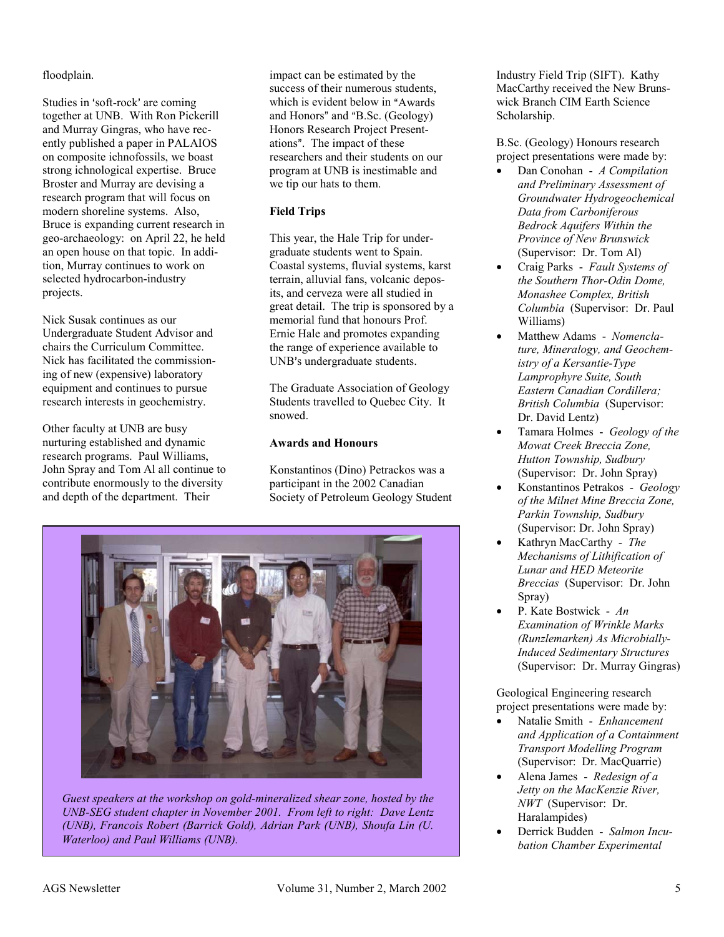#### floodplain.

Studies in 'soft-rock' are coming together at UNB. With Ron Pickerill and Murray Gingras, who have recently published a paper in PALAIOS on composite ichnofossils, we boast strong ichnological expertise. Bruce Broster and Murray are devising a research program that will focus on modern shoreline systems. Also, Bruce is expanding current research in geo-archaeology: on April 22, he held an open house on that topic. In addition, Murray continues to work on selected hydrocarbon-industry projects.

Nick Susak continues as our Undergraduate Student Advisor and chairs the Curriculum Committee. Nick has facilitated the commissioning of new (expensive) laboratory equipment and continues to pursue research interests in geochemistry.

Other faculty at UNB are busy nurturing established and dynamic research programs. Paul Williams, John Spray and Tom Al all continue to contribute enormously to the diversity and depth of the department. Their

impact can be estimated by the success of their numerous students, which is evident below in "Awards" and Honors" and "B.Sc. (Geology) Honors Research Project Presentations". The impact of these researchers and their students on our program at UNB is inestimable and we tip our hats to them.

#### **Field Trips**

This year, the Hale Trip for undergraduate students went to Spain. Coastal systems, fluvial systems, karst terrain, alluvial fans, volcanic deposits, and cerveza were all studied in great detail. The trip is sponsored by a memorial fund that honours Prof. Ernie Hale and promotes expanding the range of experience available to UNB's undergraduate students.

The Graduate Association of Geology Students travelled to Quebec City. It snowed.

#### **Awards and Honours**

Konstantinos (Dino) Petrackos was a participant in the 2002 Canadian Society of Petroleum Geology Student



*Guest speakers at the workshop on gold-mineralized shear zone, hosted by the UNB-SEG student chapter in November 2001. From left to right: Dave Lentz (UNB), Francois Robert (Barrick Gold), Adrian Park (UNB), Shoufa Lin (U. Waterloo) and Paul Williams (UNB).* 

Industry Field Trip (SIFT). Kathy MacCarthy received the New Brunswick Branch CIM Earth Science Scholarship.

B.Sc. (Geology) Honours research project presentations were made by:

- $\bullet$  Dan Conohan - *A Compilation and Preliminary Assessment of Groundwater Hydrogeochemical Data from Carboniferous Bedrock Aquifers Within the Province of New Brunswick* (Supervisor: Dr. Tom Al)
- $\bullet$  Craig Parks - *Fault Systems of the Southern Thor-Odin Dome, Monashee Complex, British Columbia* (Supervisor: Dr. Paul Williams)
- - Matthew Adams - *Nomenclature, Mineralogy, and Geochemistry of a Kersantie-Type Lamprophyre Suite, South Eastern Canadian Cordillera; British Columbia* (Supervisor: Dr. David Lentz)
- $\bullet$  Tamara Holmes - *Geology of the Mowat Creek Breccia Zone, Hutton Township, Sudbury*  (Supervisor: Dr. John Spray)
- - Konstantinos Petrakos - *Geology of the Milnet Mine Breccia Zone, Parkin Township, Sudbury*  (Supervisor: Dr. John Spray)
- $\bullet$  Kathryn MacCarthy - *The Mechanisms of Lithification of Lunar and HED Meteorite Breccias* (Supervisor: Dr. John Spray)
- $\bullet$  P. Kate Bostwick - *An Examination of Wrinkle Marks (Runzlemarken) As Microbially-Induced Sedimentary Structures*  (Supervisor: Dr. Murray Gingras)

Geological Engineering research project presentations were made by:

- $\bullet$  Natalie Smith - *Enhancement and Application of a Containment Transport Modelling Program*  (Supervisor: Dr. MacQuarrie)
- $\bullet$  Alena James - *Redesign of a Jetty on the MacKenzie River, NWT* (Supervisor: Dr. Haralampides)
- - Derrick Budden - *Salmon Incubation Chamber Experimental*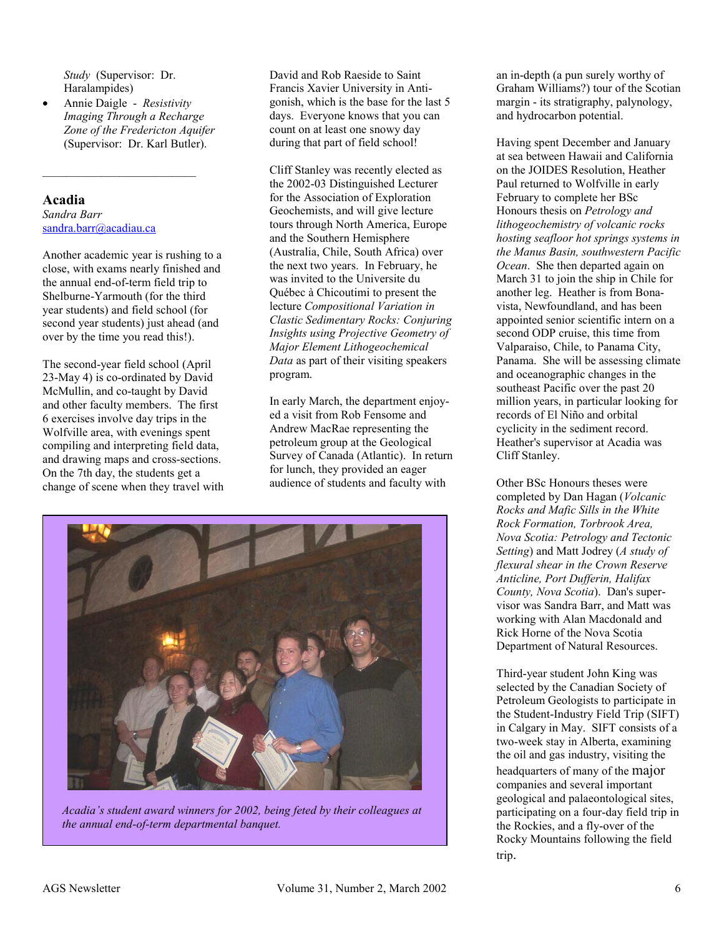*Study* (Supervisor: Dr. Haralampides)

 $\overline{\phantom{a}}$  , where  $\overline{\phantom{a}}$  , where  $\overline{\phantom{a}}$  , where  $\overline{\phantom{a}}$ 

 $\bullet$  Annie Daigle - *Resistivity Imaging Through a Recharge Zone of the Fredericton Aquifer*  (Supervisor: Dr. Karl Butler).

#### **Acadia**  *Sandra Barr*  sandra.barr@acadiau.ca

Another academic year is rushing to a close, with exams nearly finished and the annual end-of-term field trip to Shelburne-Yarmouth (for the third year students) and field school (for second year students) just ahead (and over by the time you read this!).

The second-year field school (April 23-May 4) is co-ordinated by David McMullin, and co-taught by David and other faculty members. The first 6 exercises involve day trips in the Wolfville area, with evenings spent compiling and interpreting field data, and drawing maps and cross-sections. On the 7th day, the students get a change of scene when they travel with

David and Rob Raeside to Saint Francis Xavier University in Antigonish, which is the base for the last 5 days. Everyone knows that you can count on at least one snowy day during that part of field school!

Cliff Stanley was recently elected as the 2002-03 Distinguished Lecturer for the Association of Exploration Geochemists, and will give lecture tours through North America, Europe and the Southern Hemisphere (Australia, Chile, South Africa) over the next two years. In February, he was invited to the Universite du Québec à Chicoutimi to present the lecture *Compositional Variation in Clastic Sedimentary Rocks: Conjuring Insights using Projective Geometry of Major Element Lithogeochemical Data* as part of their visiting speakers program.

In early March, the department enjoyed a visit from Rob Fensome and Andrew MacRae representing the petroleum group at the Geological Survey of Canada (Atlantic). In return for lunch, they provided an eager audience of students and faculty with



*Acadia's student award winners for 2002, being feted by their colleagues at the annual end-of-term departmental banquet.* 

an in-depth (a pun surely worthy of Graham Williams?) tour of the Scotian margin - its stratigraphy, palynology, and hydrocarbon potential.

Having spent December and January at sea between Hawaii and California on the JOIDES Resolution, Heather Paul returned to Wolfville in early February to complete her BSc Honours thesis on *Petrology and lithogeochemistry of volcanic rocks hosting seafloor hot springs systems in the Manus Basin, southwestern Pacific Ocean*. She then departed again on March 31 to join the ship in Chile for another leg. Heather is from Bonavista, Newfoundland, and has been appointed senior scientific intern on a second ODP cruise, this time from Valparaiso, Chile, to Panama City, Panama. She will be assessing climate and oceanographic changes in the southeast Pacific over the past 20 million years, in particular looking for records of El Niño and orbital cyclicity in the sediment record. Heather's supervisor at Acadia was Cliff Stanley.

Other BSc Honours theses were completed by Dan Hagan (*Volcanic Rocks and Mafic Sills in the White Rock Formation, Torbrook Area, Nova Scotia: Petrology and Tectonic Setting*) and Matt Jodrey (*A study of flexural shear in the Crown Reserve Anticline, Port Dufferin, Halifax County, Nova Scotia*). Dan's supervisor was Sandra Barr, and Matt was working with Alan Macdonald and Rick Horne of the Nova Scotia Department of Natural Resources.

Third-year student John King was selected by the Canadian Society of Petroleum Geologists to participate in the Student-Industry Field Trip (SIFT) in Calgary in May. SIFT consists of a two-week stay in Alberta, examining the oil and gas industry, visiting the headquarters of many of the major companies and several important geological and palaeontological sites, participating on a four-day field trip in the Rockies, and a fly-over of the Rocky Mountains following the field trip.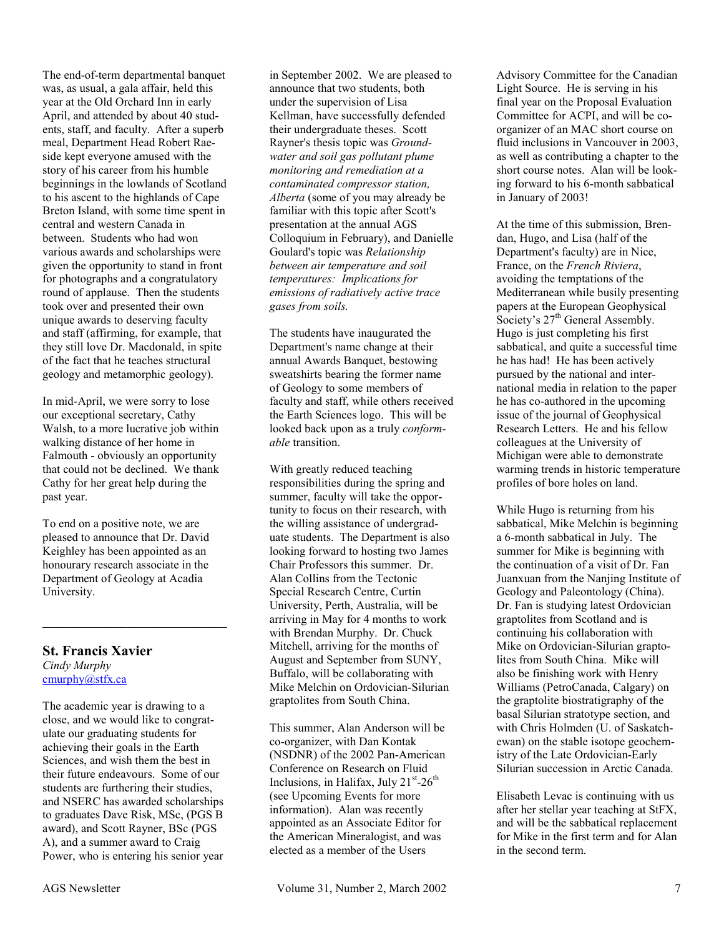The end-of-term departmental banquet was, as usual, a gala affair, held this year at the Old Orchard Inn in early April, and attended by about 40 students, staff, and faculty. After a superb meal, Department Head Robert Raeside kept everyone amused with the story of his career from his humble beginnings in the lowlands of Scotland to his ascent to the highlands of Cape Breton Island, with some time spent in central and western Canada in between. Students who had won various awards and scholarships were given the opportunity to stand in front for photographs and a congratulatory round of applause. Then the students took over and presented their own unique awards to deserving faculty and staff (affirming, for example, that they still love Dr. Macdonald, in spite of the fact that he teaches structural geology and metamorphic geology).

In mid-April, we were sorry to lose our exceptional secretary, Cathy Walsh, to a more lucrative job within walking distance of her home in Falmouth - obviously an opportunity that could not be declined. We thank Cathy for her great help during the past year.

To end on a positive note, we are pleased to announce that Dr. David Keighley has been appointed as an honourary research associate in the Department of Geology at Acadia University.

 $\mathcal{L}_\text{max}$  , where  $\mathcal{L}_\text{max}$  and  $\mathcal{L}_\text{max}$ 

#### **St. Francis Xavier**  *Cindy Murphy*  cmurphy@stfx.ca

The academic year is drawing to a close, and we would like to congratulate our graduating students for achieving their goals in the Earth Sciences, and wish them the best in their future endeavours. Some of our students are furthering their studies, and NSERC has awarded scholarships to graduates Dave Risk, MSc, (PGS B award), and Scott Rayner, BSc (PGS A), and a summer award to Craig Power, who is entering his senior year

in September 2002. We are pleased to announce that two students, both under the supervision of Lisa Kellman, have successfully defended their undergraduate theses. Scott Rayner's thesis topic was *Groundwater and soil gas pollutant plume monitoring and remediation at a contaminated compressor station, Alberta* (some of you may already be familiar with this topic after Scott's presentation at the annual AGS Colloquium in February), and Danielle Goulard's topic was *Relationship between air temperature and soil temperatures: Implications for emissions of radiatively active trace gases from soils.*

The students have inaugurated the Department's name change at their annual Awards Banquet, bestowing sweatshirts bearing the former name of Geology to some members of faculty and staff, while others received the Earth Sciences logo. This will be looked back upon as a truly *conformable* transition.

With greatly reduced teaching responsibilities during the spring and summer, faculty will take the opportunity to focus on their research, with the willing assistance of undergraduate students. The Department is also looking forward to hosting two James Chair Professors this summer. Dr. Alan Collins from the Tectonic Special Research Centre, Curtin University, Perth, Australia, will be arriving in May for 4 months to work with Brendan Murphy. Dr. Chuck Mitchell, arriving for the months of August and September from SUNY, Buffalo, will be collaborating with Mike Melchin on Ordovician-Silurian graptolites from South China.

This summer, Alan Anderson will be co-organizer, with Dan Kontak (NSDNR) of the 2002 Pan-American Conference on Research on Fluid Inclusions, in Halifax, July  $21^{st}$ -26<sup>th</sup> (see Upcoming Events for more information). Alan was recently appointed as an Associate Editor for the American Mineralogist, and was elected as a member of the Users

Advisory Committee for the Canadian Light Source. He is serving in his final year on the Proposal Evaluation Committee for ACPI, and will be coorganizer of an MAC short course on fluid inclusions in Vancouver in 2003, as well as contributing a chapter to the short course notes. Alan will be looking forward to his 6-month sabbatical in January of 2003!

At the time of this submission, Brendan, Hugo, and Lisa (half of the Department's faculty) are in Nice, France, on the *French Riviera*, avoiding the temptations of the Mediterranean while busily presenting papers at the European Geophysical Society's 27<sup>th</sup> General Assembly. Hugo is just completing his first sabbatical, and quite a successful time he has had! He has been actively pursued by the national and international media in relation to the paper he has co-authored in the upcoming issue of the journal of Geophysical Research Letters. He and his fellow colleagues at the University of Michigan were able to demonstrate warming trends in historic temperature profiles of bore holes on land.

While Hugo is returning from his sabbatical, Mike Melchin is beginning a 6-month sabbatical in July. The summer for Mike is beginning with the continuation of a visit of Dr. Fan Juanxuan from the Nanjing Institute of Geology and Paleontology (China). Dr. Fan is studying latest Ordovician graptolites from Scotland and is continuing his collaboration with Mike on Ordovician-Silurian graptolites from South China. Mike will also be finishing work with Henry Williams (PetroCanada, Calgary) on the graptolite biostratigraphy of the basal Silurian stratotype section, and with Chris Holmden (U. of Saskatchewan) on the stable isotope geochemistry of the Late Ordovician-Early Silurian succession in Arctic Canada.

Elisabeth Levac is continuing with us after her stellar year teaching at StFX, and will be the sabbatical replacement for Mike in the first term and for Alan in the second term.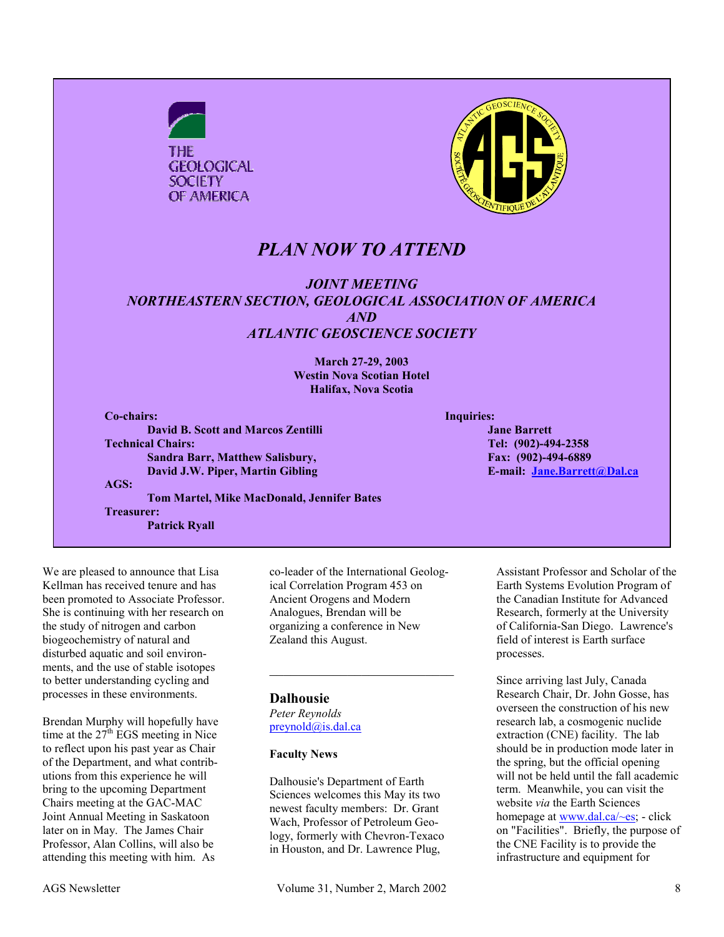

We are pleased to announce that Lisa Kellman has received tenure and has been promoted to Associate Professor. She is continuing with her research on the study of nitrogen and carbon biogeochemistry of natural and disturbed aquatic and soil environments, and the use of stable isotopes to better understanding cycling and processes in these environments.

Brendan Murphy will hopefully have time at the  $27<sup>th</sup> EGS$  meeting in Nice to reflect upon his past year as Chair of the Department, and what contributions from this experience he will bring to the upcoming Department Chairs meeting at the GAC-MAC Joint Annual Meeting in Saskatoon later on in May. The James Chair Professor, Alan Collins, will also be attending this meeting with him. As

co-leader of the International Geological Correlation Program 453 on Ancient Orogens and Modern Analogues, Brendan will be organizing a conference in New Zealand this August.

 $\mathcal{L}_\text{max}$  , where  $\mathcal{L}_\text{max}$  and  $\mathcal{L}_\text{max}$ 

#### **Dalhousie**

*Peter Reynolds*  preynold@is.dal.ca

#### **Faculty News**

Dalhousie's Department of Earth Sciences welcomes this May its two newest faculty members: Dr. Grant Wach, Professor of Petroleum Geology, formerly with Chevron-Texaco in Houston, and Dr. Lawrence Plug,

Assistant Professor and Scholar of the Earth Systems Evolution Program of the Canadian Institute for Advanced Research, formerly at the University of California-San Diego. Lawrence's field of interest is Earth surface processes.

Since arriving last July, Canada Research Chair, Dr. John Gosse, has overseen the construction of his new research lab, a cosmogenic nuclide extraction (CNE) facility. The lab should be in production mode later in the spring, but the official opening will not be held until the fall academic term. Meanwhile, you can visit the website *via* the Earth Sciences homepage at www.dal.ca/~es; - click on "Facilities". Briefly, the purpose of the CNE Facility is to provide the infrastructure and equipment for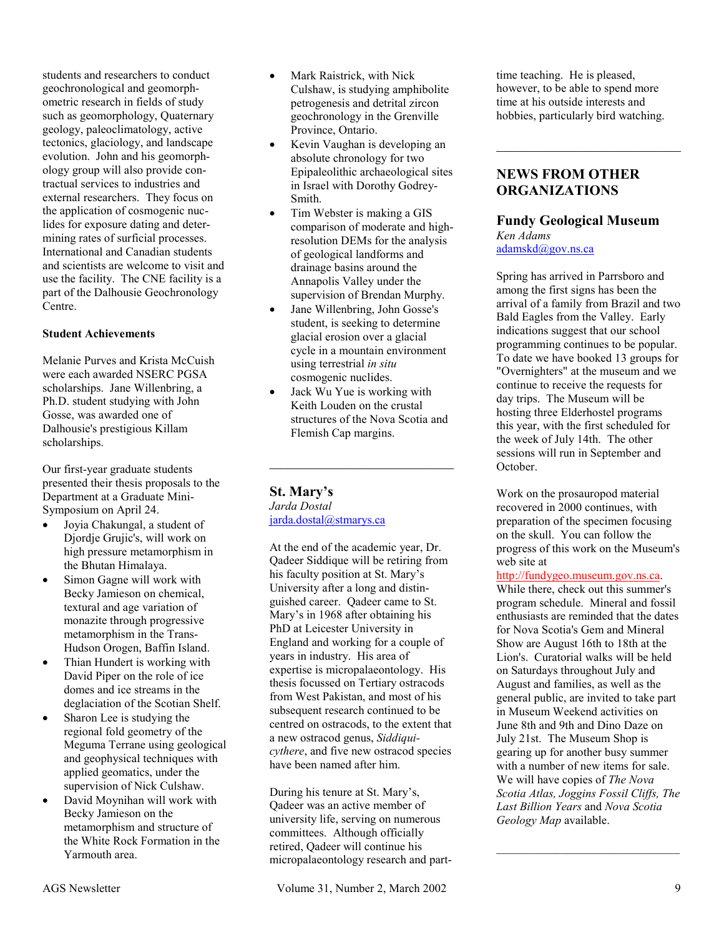students and researchers to conduct geochronological and geomorphometric research in fields of study such as geomorphology, Quaternary geology, paleoclimatology, active tectonics, glaciology, and landscape evolution. John and his geomorphology group will also provide contractual services to industries and external researchers. They focus on the application of cosmogenic nuclides for exposure dating and determining rates of surficial processes. International and Canadian students and scientists are welcome to visit and use the facility. The CNE facility is a part of the Dalhousie Geochronology Centre.

#### **Student Achievements**

Melanie Purves and Krista McCuish were each awarded NSERC PGSA scholarships. Jane Willenbring, a Ph.D. student studying with John Gosse, was awarded one of Dalhousie's prestigious Killam scholarships.

Our first-year graduate students presented their thesis proposals to the Department at a Graduate Mini-Symposium on April 24.

- $\bullet$  Joyia Chakungal, a student of Djordje Grujic's, will work on high pressure metamorphism in the Bhutan Himalaya.
- $\bullet$  Simon Gagne will work with Becky Jamieson on chemical, textural and age variation of monazite through progressive metamorphism in the Trans-Hudson Orogen, Baffin Island.
- - Thian Hundert is working with David Piper on the role of ice domes and ice streams in the deglaciation of the Scotian Shelf.
- - Sharon Lee is studying the regional fold geometry of the Meguma Terrane using geological and geophysical techniques with applied geomatics, under the supervision of Nick Culshaw.
- - David Moynihan will work with Becky Jamieson on the metamorphism and structure of the White Rock Formation in the Yarmouth area.
- - Mark Raistrick, with Nick Culshaw, is studying amphibolite petrogenesis and detrital zircon geochronology in the Grenville Province, Ontario.
- $\bullet$  Kevin Vaughan is developing an absolute chronology for two Epipaleolithic archaeological sites in Israel with Dorothy Godrey-Smith.
- $\bullet$  Tim Webster is making a GIS comparison of moderate and highresolution DEMs for the analysis of geological landforms and drainage basins around the Annapolis Valley under the supervision of Brendan Murphy.
- - Jane Willenbring, John Gosse's student, is seeking to determine glacial erosion over a glacial cycle in a mountain environment using terrestrial *in situ* cosmogenic nuclides.
- - Jack Wu Yue is working with Keith Louden on the crustal structures of the Nova Scotia and Flemish Cap margins.

 $\mathcal{L}_\text{max}$ 

#### **St. Mary's**  *Jarda Dostal*

jarda.dostal@stmarys.ca

At the end of the academic year, Dr. Qadeer Siddique will be retiring from his faculty position at St. Mary's University after a long and distinguished career. Qadeer came to St. Mary's in 1968 after obtaining his PhD at Leicester University in England and working for a couple of years in industry. His area of expertise is micropalaeontology. His thesis focussed on Tertiary ostracods from West Pakistan, and most of his subsequent research continued to be centred on ostracods, to the extent that a new ostracod genus, *Siddiquicythere*, and five new ostracod species have been named after him.

During his tenure at St. Mary's, Qadeer was an active member of university life, serving on numerous committees. Although officially retired, Qadeer will continue his micropalaeontology research and parttime teaching. He is pleased, however, to be able to spend more time at his outside interests and hobbies, particularly bird watching.

 $\mathcal{L}_\text{max}$ 

#### **NEWS FROM OTHER ORGANIZATIONS**

**Fundy Geological Museum**  *Ken Adams*  adamskd@gov.ns.ca

Spring has arrived in Parrsboro and among the first signs has been the arrival of a family from Brazil and two Bald Eagles from the Valley. Early indications suggest that our school programming continues to be popular. To date we have booked 13 groups for "Overnighters" at the museum and we continue to receive the requests for day trips. The Museum will be hosting three Elderhostel programs this year, with the first scheduled for the week of July 14th. The other sessions will run in September and October.

Work on the prosauropod material recovered in 2000 continues, with preparation of the specimen focusing on the skull. You can follow the progress of this work on the Museum's web site at

#### http://fundygeo.museum.gov.ns.ca.

While there, check out this summer's program schedule. Mineral and fossil enthusiasts are reminded that the dates for Nova Scotia's Gem and Mineral Show are August 16th to 18th at the Lion's. Curatorial walks will be held on Saturdays throughout July and August and families, as well as the general public, are invited to take part in Museum Weekend activities on June 8th and 9th and Dino Daze on July 21st. The Museum Shop is gearing up for another busy summer with a number of new items for sale. We will have copies of *The Nova Scotia Atlas, Joggins Fossil Cliffs, The Last Billion Years* and *Nova Scotia Geology Map* available.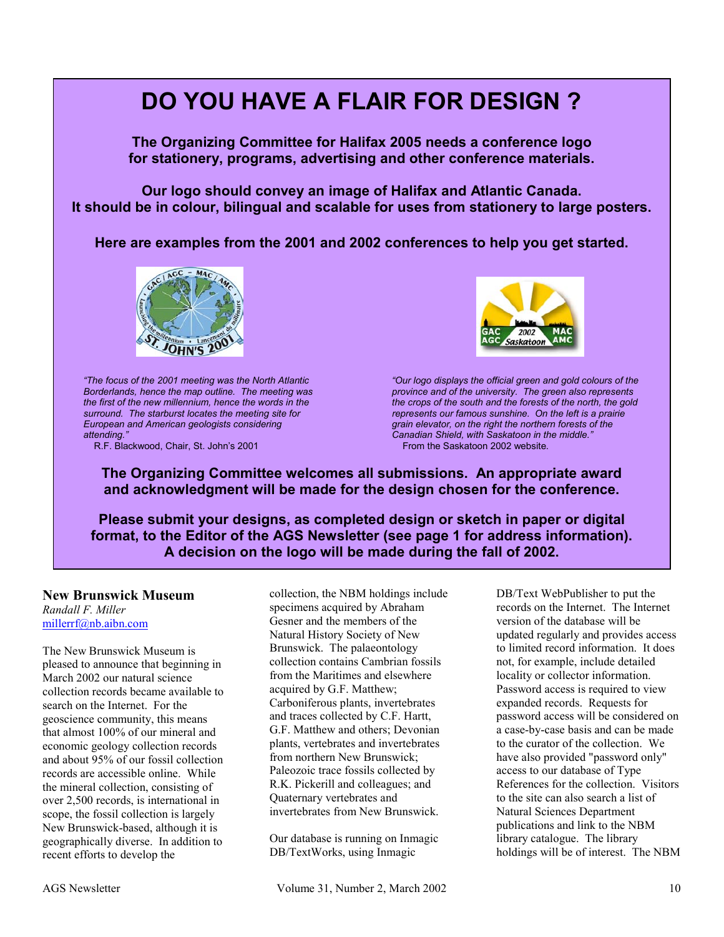

R.F. Blackwood, Chair, St. John's 2001



**Please submit your designs, as completed design or sketch in paper or digital format, to the Editor of the AGS Newsletter (see page 1 for address information). A decision on the logo will be made during the fall of 2002.** 

#### **New Brunswick Museum**

*Randall F. Miller*  millerrf@nb.aibn.com

The New Brunswick Museum is pleased to announce that beginning in March 2002 our natural science collection records became available to search on the Internet. For the geoscience community, this means that almost 100% of our mineral and economic geology collection records and about 95% of our fossil collection records are accessible online. While the mineral collection, consisting of over 2,500 records, is international in scope, the fossil collection is largely New Brunswick-based, although it is geographically diverse. In addition to recent efforts to develop the

collection, the NBM holdings include specimens acquired by Abraham Gesner and the members of the Natural History Society of New Brunswick. The palaeontology collection contains Cambrian fossils from the Maritimes and elsewhere acquired by G.F. Matthew; Carboniferous plants, invertebrates and traces collected by C.F. Hartt, G.F. Matthew and others; Devonian plants, vertebrates and invertebrates from northern New Brunswick; Paleozoic trace fossils collected by R.K. Pickerill and colleagues; and Quaternary vertebrates and invertebrates from New Brunswick.

Our database is running on Inmagic DB/TextWorks, using Inmagic

DB/Text WebPublisher to put the records on the Internet. The Internet version of the database will be updated regularly and provides access to limited record information. It does not, for example, include detailed locality or collector information. Password access is required to view expanded records. Requests for password access will be considered on a case-by-case basis and can be made to the curator of the collection. We have also provided "password only" access to our database of Type References for the collection. Visitors to the site can also search a list of Natural Sciences Department publications and link to the NBM library catalogue. The library holdings will be of interest. The NBM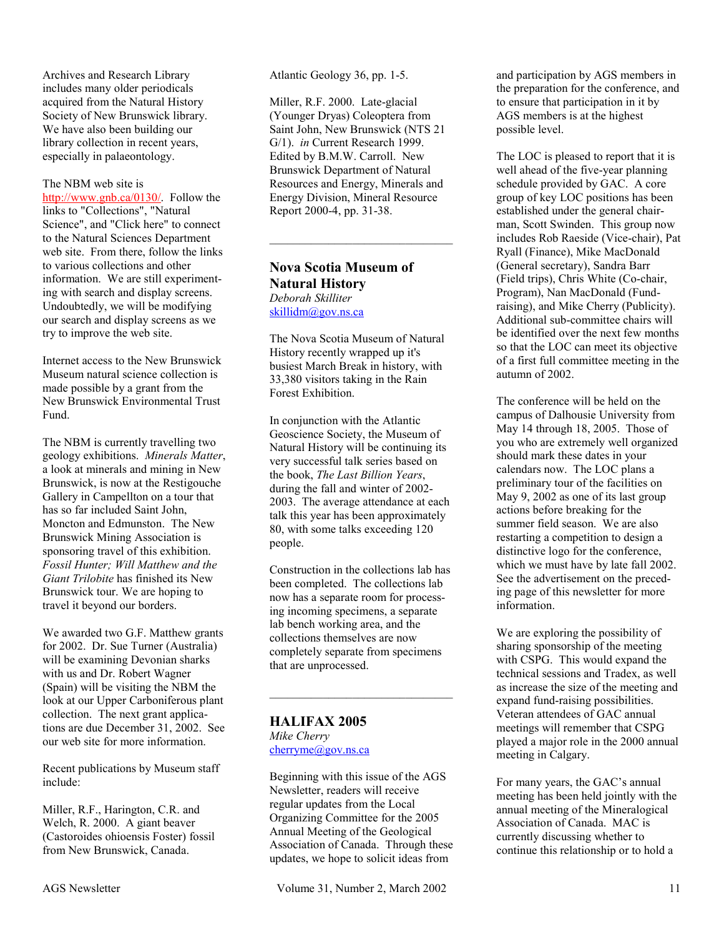Archives and Research Library includes many older periodicals acquired from the Natural History Society of New Brunswick library. We have also been building our library collection in recent years, especially in palaeontology.

#### The NBM web site is

http://www.gnb.ca/0130/. Follow the links to "Collections", "Natural Science", and "Click here" to connect to the Natural Sciences Department web site. From there, follow the links to various collections and other information. We are still experimenting with search and display screens. Undoubtedly, we will be modifying our search and display screens as we try to improve the web site.

Internet access to the New Brunswick Museum natural science collection is made possible by a grant from the New Brunswick Environmental Trust Fund.

The NBM is currently travelling two geology exhibitions. *Minerals Matter*, a look at minerals and mining in New Brunswick, is now at the Restigouche Gallery in Campellton on a tour that has so far included Saint John, Moncton and Edmunston. The New Brunswick Mining Association is sponsoring travel of this exhibition. *Fossil Hunter; Will Matthew and the Giant Trilobite* has finished its New Brunswick tour. We are hoping to travel it beyond our borders.

We awarded two G.F. Matthew grants for 2002. Dr. Sue Turner (Australia) will be examining Devonian sharks with us and Dr. Robert Wagner (Spain) will be visiting the NBM the look at our Upper Carboniferous plant collection. The next grant applications are due December 31, 2002. See our web site for more information.

Recent publications by Museum staff include:

Miller, R.F., Harington, C.R. and Welch, R. 2000. A giant beaver (Castoroides ohioensis Foster) fossil from New Brunswick, Canada.

Atlantic Geology 36, pp. 1-5.

Miller, R.F. 2000. Late-glacial (Younger Dryas) Coleoptera from Saint John, New Brunswick (NTS 21 G/1). *in* Current Research 1999. Edited by B.M.W. Carroll. New Brunswick Department of Natural Resources and Energy, Minerals and Energy Division, Mineral Resource Report 2000-4, pp. 31-38.

### **Nova Scotia Museum of Natural History**

*Deborah Skilliter*  skillidm@gov.ns.ca

The Nova Scotia Museum of Natural History recently wrapped up it's busiest March Break in history, with 33,380 visitors taking in the Rain Forest Exhibition.

In conjunction with the Atlantic Geoscience Society, the Museum of Natural History will be continuing its very successful talk series based on the book, *The Last Billion Years*, during the fall and winter of 2002- 2003. The average attendance at each talk this year has been approximately 80, with some talks exceeding 120 people.

Construction in the collections lab has been completed. The collections lab now has a separate room for processing incoming specimens, a separate lab bench working area, and the collections themselves are now completely separate from specimens that are unprocessed.

**HALIFAX 2005** *Mike Cherry*  cherryme@gov.ns.ca

Beginning with this issue of the AGS Newsletter, readers will receive regular updates from the Local Organizing Committee for the 2005 Annual Meeting of the Geological Association of Canada. Through these updates, we hope to solicit ideas from

AGS Newsletter Volume 31, Number 2, March 2002 11

and participation by AGS members in the preparation for the conference, and to ensure that participation in it by AGS members is at the highest possible level.

The LOC is pleased to report that it is well ahead of the five-year planning schedule provided by GAC. A core group of key LOC positions has been established under the general chairman, Scott Swinden. This group now includes Rob Raeside (Vice-chair), Pat Ryall (Finance), Mike MacDonald (General secretary), Sandra Barr (Field trips), Chris White (Co-chair, Program), Nan MacDonald (Fundraising), and Mike Cherry (Publicity). Additional sub-committee chairs will be identified over the next few months so that the LOC can meet its objective of a first full committee meeting in the autumn of 2002.

The conference will be held on the campus of Dalhousie University from May 14 through 18, 2005. Those of you who are extremely well organized should mark these dates in your calendars now. The LOC plans a preliminary tour of the facilities on May 9, 2002 as one of its last group actions before breaking for the summer field season. We are also restarting a competition to design a distinctive logo for the conference, which we must have by late fall 2002. See the advertisement on the preceding page of this newsletter for more information.

We are exploring the possibility of sharing sponsorship of the meeting with CSPG. This would expand the technical sessions and Tradex, as well as increase the size of the meeting and expand fund-raising possibilities. Veteran attendees of GAC annual meetings will remember that CSPG played a major role in the 2000 annual meeting in Calgary.

For many years, the GAC's annual meeting has been held jointly with the annual meeting of the Mineralogical Association of Canada. MAC is currently discussing whether to continue this relationship or to hold a